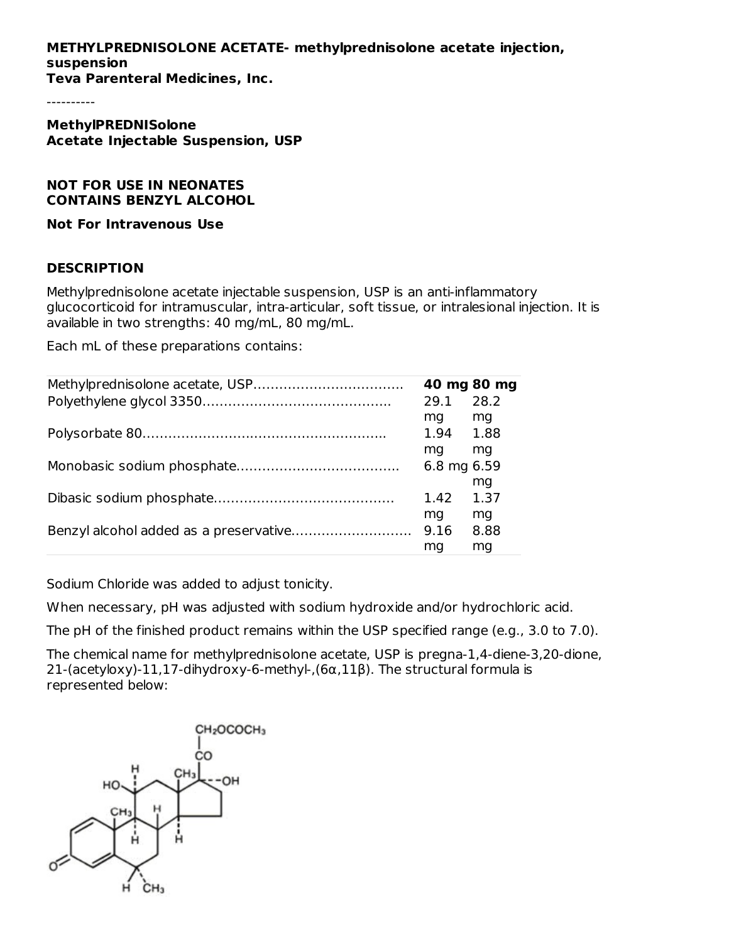**METHYLPREDNISOLONE ACETATE- methylprednisolone acetate injection, suspension Teva Parenteral Medicines, Inc.**

----------

**MethylPREDNISolone Acetate Injectable Suspension, USP**

#### **NOT FOR USE IN NEONATES CONTAINS BENZYL ALCOHOL**

#### **Not For Intravenous Use**

### **DESCRIPTION**

Methylprednisolone acetate injectable suspension, USP is an anti-inflammatory glucocorticoid for intramuscular, intra-articular, soft tissue, or intralesional injection. It is available in two strengths: 40 mg/mL, 80 mg/mL.

Each mL of these preparations contains:

| 40 mg 80 mg |      |
|-------------|------|
| 29.1        | 28.2 |
| ma          | mg   |
| 1.94 1.88   |      |
| ma          | ma   |
| 6.8 mg 6.59 |      |
|             | ma   |
| 1.42        | 1.37 |
| ma          | mg   |
|             | 8.88 |
| ma          | ma   |

Sodium Chloride was added to adjust tonicity.

When necessary, pH was adjusted with sodium hydroxide and/or hydrochloric acid.

The pH of the finished product remains within the USP specified range (e.g., 3.0 to 7.0).

The chemical name for methylprednisolone acetate, USP is pregna-1,4-diene-3,20-dione, 21-(acetyloxy)-11,17-dihydroxy-6-methyl-,(6α,11β). The structural formula is represented below:

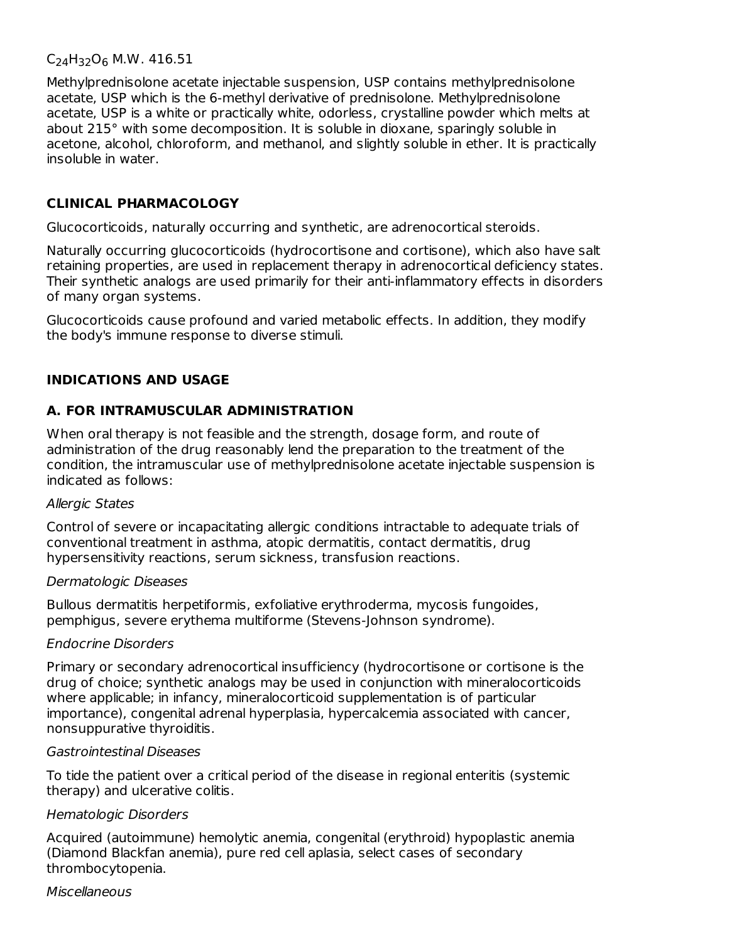# C<sub>24</sub>H<sub>32</sub>O<sub>6</sub> M.W. 416.51

Methylprednisolone acetate injectable suspension, USP contains methylprednisolone acetate, USP which is the 6-methyl derivative of prednisolone. Methylprednisolone acetate, USP is a white or practically white, odorless, crystalline powder which melts at about 215° with some decomposition. It is soluble in dioxane, sparingly soluble in acetone, alcohol, chloroform, and methanol, and slightly soluble in ether. It is practically insoluble in water.

# **CLINICAL PHARMACOLOGY**

Glucocorticoids, naturally occurring and synthetic, are adrenocortical steroids.

Naturally occurring glucocorticoids (hydrocortisone and cortisone), which also have salt retaining properties, are used in replacement therapy in adrenocortical deficiency states. Their synthetic analogs are used primarily for their anti-inflammatory effects in disorders of many organ systems.

Glucocorticoids cause profound and varied metabolic effects. In addition, they modify the body's immune response to diverse stimuli.

# **INDICATIONS AND USAGE**

# **A. FOR INTRAMUSCULAR ADMINISTRATION**

When oral therapy is not feasible and the strength, dosage form, and route of administration of the drug reasonably lend the preparation to the treatment of the condition, the intramuscular use of methylprednisolone acetate injectable suspension is indicated as follows:

### Allergic States

Control of severe or incapacitating allergic conditions intractable to adequate trials of conventional treatment in asthma, atopic dermatitis, contact dermatitis, drug hypersensitivity reactions, serum sickness, transfusion reactions.

### Dermatologic Diseases

Bullous dermatitis herpetiformis, exfoliative erythroderma, mycosis fungoides, pemphigus, severe erythema multiforme (Stevens-Johnson syndrome).

## Endocrine Disorders

Primary or secondary adrenocortical insufficiency (hydrocortisone or cortisone is the drug of choice; synthetic analogs may be used in conjunction with mineralocorticoids where applicable; in infancy, mineralocorticoid supplementation is of particular importance), congenital adrenal hyperplasia, hypercalcemia associated with cancer, nonsuppurative thyroiditis.

### Gastrointestinal Diseases

To tide the patient over a critical period of the disease in regional enteritis (systemic therapy) and ulcerative colitis.

## Hematologic Disorders

Acquired (autoimmune) hemolytic anemia, congenital (erythroid) hypoplastic anemia (Diamond Blackfan anemia), pure red cell aplasia, select cases of secondary thrombocytopenia.

**Miscellaneous**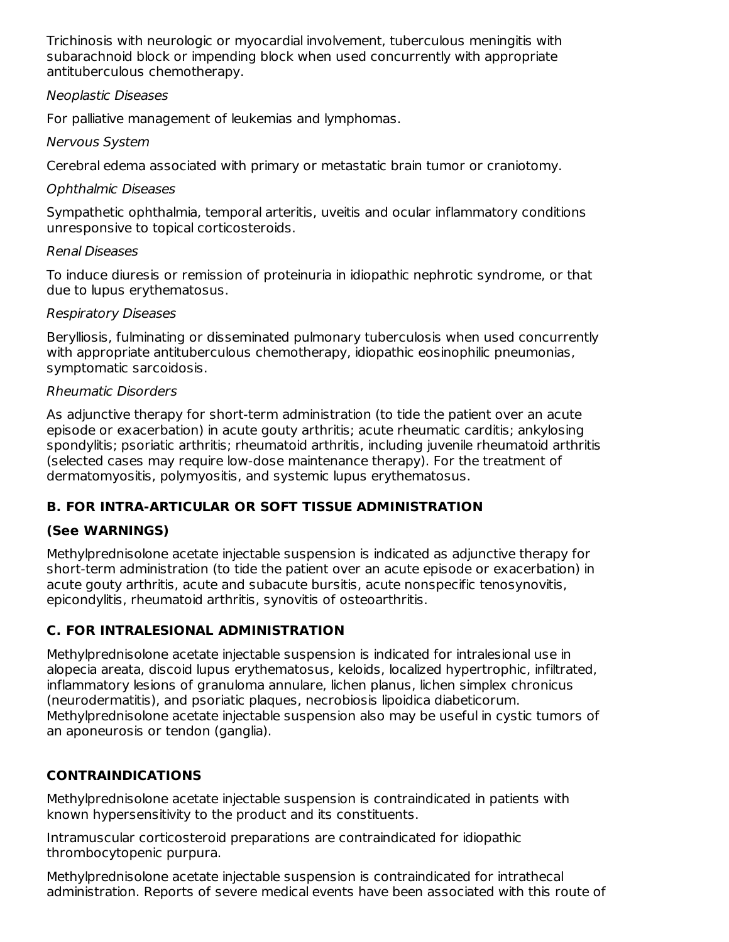Trichinosis with neurologic or myocardial involvement, tuberculous meningitis with subarachnoid block or impending block when used concurrently with appropriate antituberculous chemotherapy.

## Neoplastic Diseases

For palliative management of leukemias and lymphomas.

## Nervous System

Cerebral edema associated with primary or metastatic brain tumor or craniotomy.

## Ophthalmic Diseases

Sympathetic ophthalmia, temporal arteritis, uveitis and ocular inflammatory conditions unresponsive to topical corticosteroids.

## Renal Diseases

To induce diuresis or remission of proteinuria in idiopathic nephrotic syndrome, or that due to lupus erythematosus.

### Respiratory Diseases

Berylliosis, fulminating or disseminated pulmonary tuberculosis when used concurrently with appropriate antituberculous chemotherapy, idiopathic eosinophilic pneumonias, symptomatic sarcoidosis.

## Rheumatic Disorders

As adjunctive therapy for short-term administration (to tide the patient over an acute episode or exacerbation) in acute gouty arthritis; acute rheumatic carditis; ankylosing spondylitis; psoriatic arthritis; rheumatoid arthritis, including juvenile rheumatoid arthritis (selected cases may require low-dose maintenance therapy). For the treatment of dermatomyositis, polymyositis, and systemic lupus erythematosus.

# **B. FOR INTRA-ARTICULAR OR SOFT TISSUE ADMINISTRATION**

# **(See WARNINGS)**

Methylprednisolone acetate injectable suspension is indicated as adjunctive therapy for short-term administration (to tide the patient over an acute episode or exacerbation) in acute gouty arthritis, acute and subacute bursitis, acute nonspecific tenosynovitis, epicondylitis, rheumatoid arthritis, synovitis of osteoarthritis.

# **C. FOR INTRALESIONAL ADMINISTRATION**

Methylprednisolone acetate injectable suspension is indicated for intralesional use in alopecia areata, discoid lupus erythematosus, keloids, localized hypertrophic, infiltrated, inflammatory lesions of granuloma annulare, lichen planus, lichen simplex chronicus (neurodermatitis), and psoriatic plaques, necrobiosis lipoidica diabeticorum. Methylprednisolone acetate injectable suspension also may be useful in cystic tumors of an aponeurosis or tendon (ganglia).

# **CONTRAINDICATIONS**

Methylprednisolone acetate injectable suspension is contraindicated in patients with known hypersensitivity to the product and its constituents.

Intramuscular corticosteroid preparations are contraindicated for idiopathic thrombocytopenic purpura.

Methylprednisolone acetate injectable suspension is contraindicated for intrathecal administration. Reports of severe medical events have been associated with this route of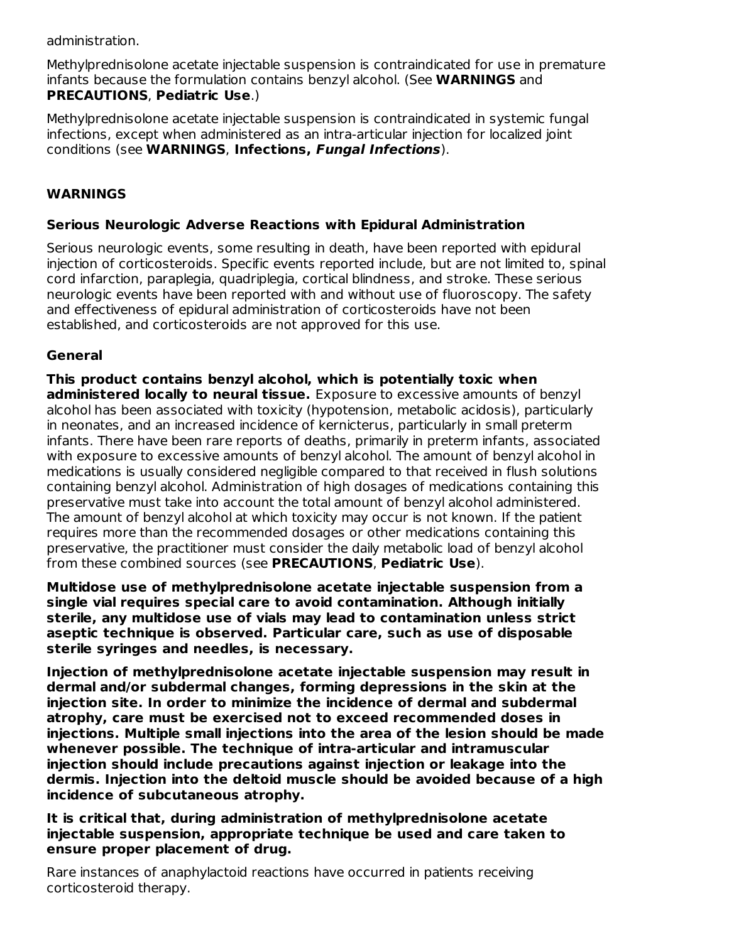administration.

Methylprednisolone acetate injectable suspension is contraindicated for use in premature infants because the formulation contains benzyl alcohol. (See **WARNINGS** and **PRECAUTIONS**, **Pediatric Use**.)

Methylprednisolone acetate injectable suspension is contraindicated in systemic fungal infections, except when administered as an intra-articular injection for localized joint conditions (see **WARNINGS**, **Infections, Fungal Infections**).

## **WARNINGS**

### **Serious Neurologic Adverse Reactions with Epidural Administration**

Serious neurologic events, some resulting in death, have been reported with epidural injection of corticosteroids. Specific events reported include, but are not limited to, spinal cord infarction, paraplegia, quadriplegia, cortical blindness, and stroke. These serious neurologic events have been reported with and without use of fluoroscopy. The safety and effectiveness of epidural administration of corticosteroids have not been established, and corticosteroids are not approved for this use.

## **General**

**This product contains benzyl alcohol, which is potentially toxic when administered locally to neural tissue.** Exposure to excessive amounts of benzyl alcohol has been associated with toxicity (hypotension, metabolic acidosis), particularly in neonates, and an increased incidence of kernicterus, particularly in small preterm infants. There have been rare reports of deaths, primarily in preterm infants, associated with exposure to excessive amounts of benzyl alcohol. The amount of benzyl alcohol in medications is usually considered negligible compared to that received in flush solutions containing benzyl alcohol. Administration of high dosages of medications containing this preservative must take into account the total amount of benzyl alcohol administered. The amount of benzyl alcohol at which toxicity may occur is not known. If the patient requires more than the recommended dosages or other medications containing this preservative, the practitioner must consider the daily metabolic load of benzyl alcohol from these combined sources (see **PRECAUTIONS**, **Pediatric Use**).

**Multidose use of methylprednisolone acetate injectable suspension from a single vial requires special care to avoid contamination. Although initially sterile, any multidose use of vials may lead to contamination unless strict aseptic technique is observed. Particular care, such as use of disposable sterile syringes and needles, is necessary.**

**Injection of methylprednisolone acetate injectable suspension may result in dermal and/or subdermal changes, forming depressions in the skin at the injection site. In order to minimize the incidence of dermal and subdermal atrophy, care must be exercised not to exceed recommended doses in injections. Multiple small injections into the area of the lesion should be made whenever possible. The technique of intra-articular and intramuscular injection should include precautions against injection or leakage into the dermis. Injection into the deltoid muscle should be avoided because of a high incidence of subcutaneous atrophy.**

**It is critical that, during administration of methylprednisolone acetate injectable suspension, appropriate technique be used and care taken to ensure proper placement of drug.**

Rare instances of anaphylactoid reactions have occurred in patients receiving corticosteroid therapy.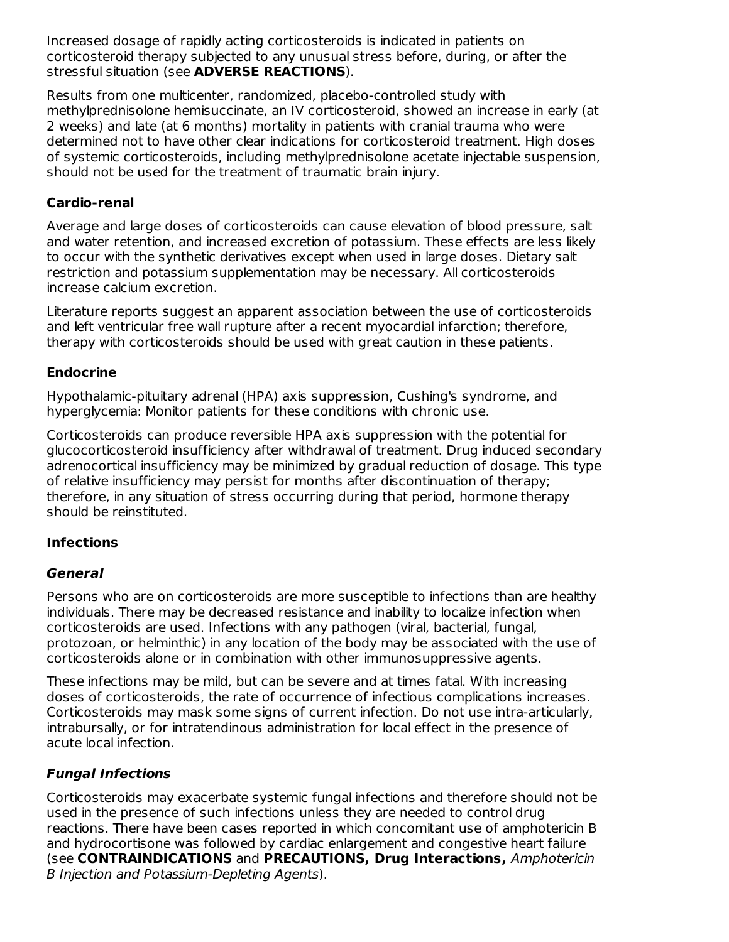Increased dosage of rapidly acting corticosteroids is indicated in patients on corticosteroid therapy subjected to any unusual stress before, during, or after the stressful situation (see **ADVERSE REACTIONS**).

Results from one multicenter, randomized, placebo-controlled study with methylprednisolone hemisuccinate, an IV corticosteroid, showed an increase in early (at 2 weeks) and late (at 6 months) mortality in patients with cranial trauma who were determined not to have other clear indications for corticosteroid treatment. High doses of systemic corticosteroids, including methylprednisolone acetate injectable suspension, should not be used for the treatment of traumatic brain injury.

## **Cardio-renal**

Average and large doses of corticosteroids can cause elevation of blood pressure, salt and water retention, and increased excretion of potassium. These effects are less likely to occur with the synthetic derivatives except when used in large doses. Dietary salt restriction and potassium supplementation may be necessary. All corticosteroids increase calcium excretion.

Literature reports suggest an apparent association between the use of corticosteroids and left ventricular free wall rupture after a recent myocardial infarction; therefore, therapy with corticosteroids should be used with great caution in these patients.

# **Endocrine**

Hypothalamic-pituitary adrenal (HPA) axis suppression, Cushing's syndrome, and hyperglycemia: Monitor patients for these conditions with chronic use.

Corticosteroids can produce reversible HPA axis suppression with the potential for glucocorticosteroid insufficiency after withdrawal of treatment. Drug induced secondary adrenocortical insufficiency may be minimized by gradual reduction of dosage. This type of relative insufficiency may persist for months after discontinuation of therapy; therefore, in any situation of stress occurring during that period, hormone therapy should be reinstituted.

# **Infections**

# **General**

Persons who are on corticosteroids are more susceptible to infections than are healthy individuals. There may be decreased resistance and inability to localize infection when corticosteroids are used. Infections with any pathogen (viral, bacterial, fungal, protozoan, or helminthic) in any location of the body may be associated with the use of corticosteroids alone or in combination with other immunosuppressive agents.

These infections may be mild, but can be severe and at times fatal. With increasing doses of corticosteroids, the rate of occurrence of infectious complications increases. Corticosteroids may mask some signs of current infection. Do not use intra-articularly, intrabursally, or for intratendinous administration for local effect in the presence of acute local infection.

# **Fungal Infections**

Corticosteroids may exacerbate systemic fungal infections and therefore should not be used in the presence of such infections unless they are needed to control drug reactions. There have been cases reported in which concomitant use of amphotericin B and hydrocortisone was followed by cardiac enlargement and congestive heart failure (see **CONTRAINDICATIONS** and **PRECAUTIONS, Drug Interactions,** Amphotericin B Injection and Potassium-Depleting Agents).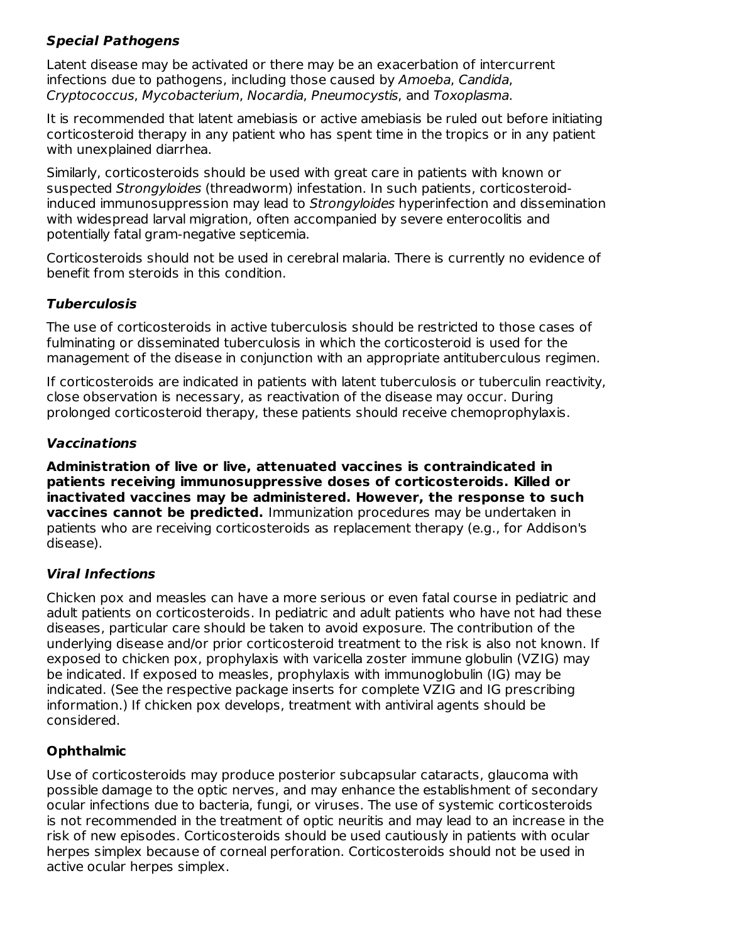## **Special Pathogens**

Latent disease may be activated or there may be an exacerbation of intercurrent infections due to pathogens, including those caused by Amoeba, Candida, Cryptococcus, Mycobacterium, Nocardia, Pneumocystis, and Toxoplasma.

It is recommended that latent amebiasis or active amebiasis be ruled out before initiating corticosteroid therapy in any patient who has spent time in the tropics or in any patient with unexplained diarrhea.

Similarly, corticosteroids should be used with great care in patients with known or suspected Strongyloides (threadworm) infestation. In such patients, corticosteroidinduced immunosuppression may lead to Strongyloides hyperinfection and dissemination with widespread larval migration, often accompanied by severe enterocolitis and potentially fatal gram-negative septicemia.

Corticosteroids should not be used in cerebral malaria. There is currently no evidence of benefit from steroids in this condition.

# **Tuberculosis**

The use of corticosteroids in active tuberculosis should be restricted to those cases of fulminating or disseminated tuberculosis in which the corticosteroid is used for the management of the disease in conjunction with an appropriate antituberculous regimen.

If corticosteroids are indicated in patients with latent tuberculosis or tuberculin reactivity, close observation is necessary, as reactivation of the disease may occur. During prolonged corticosteroid therapy, these patients should receive chemoprophylaxis.

# **Vaccinations**

**Administration of live or live, attenuated vaccines is contraindicated in patients receiving immunosuppressive doses of corticosteroids. Killed or inactivated vaccines may be administered. However, the response to such vaccines cannot be predicted.** Immunization procedures may be undertaken in patients who are receiving corticosteroids as replacement therapy (e.g., for Addison's disease).

# **Viral Infections**

Chicken pox and measles can have a more serious or even fatal course in pediatric and adult patients on corticosteroids. In pediatric and adult patients who have not had these diseases, particular care should be taken to avoid exposure. The contribution of the underlying disease and/or prior corticosteroid treatment to the risk is also not known. If exposed to chicken pox, prophylaxis with varicella zoster immune globulin (VZIG) may be indicated. If exposed to measles, prophylaxis with immunoglobulin (IG) may be indicated. (See the respective package inserts for complete VZIG and IG prescribing information.) If chicken pox develops, treatment with antiviral agents should be considered.

# **Ophthalmic**

Use of corticosteroids may produce posterior subcapsular cataracts, glaucoma with possible damage to the optic nerves, and may enhance the establishment of secondary ocular infections due to bacteria, fungi, or viruses. The use of systemic corticosteroids is not recommended in the treatment of optic neuritis and may lead to an increase in the risk of new episodes. Corticosteroids should be used cautiously in patients with ocular herpes simplex because of corneal perforation. Corticosteroids should not be used in active ocular herpes simplex.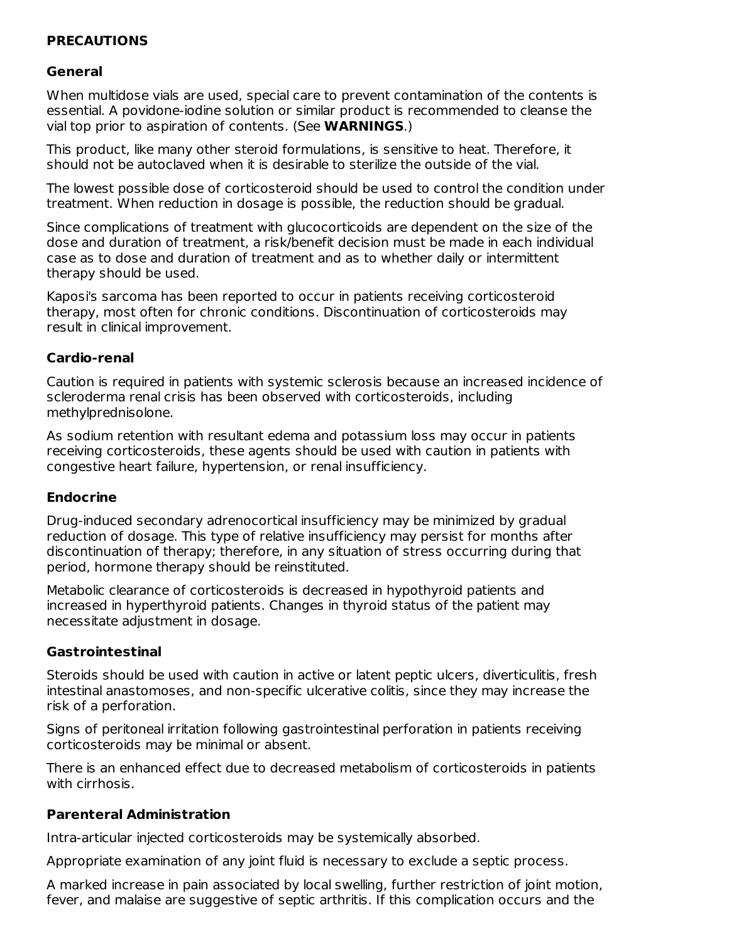## **PRECAUTIONS**

### **General**

When multidose vials are used, special care to prevent contamination of the contents is essential. A povidone-iodine solution or similar product is recommended to cleanse the vial top prior to aspiration of contents. (See **WARNINGS**.)

This product, like many other steroid formulations, is sensitive to heat. Therefore, it should not be autoclaved when it is desirable to sterilize the outside of the vial.

The lowest possible dose of corticosteroid should be used to control the condition under treatment. When reduction in dosage is possible, the reduction should be gradual.

Since complications of treatment with glucocorticoids are dependent on the size of the dose and duration of treatment, a risk/benefit decision must be made in each individual case as to dose and duration of treatment and as to whether daily or intermittent therapy should be used.

Kaposi's sarcoma has been reported to occur in patients receiving corticosteroid therapy, most often for chronic conditions. Discontinuation of corticosteroids may result in clinical improvement.

### **Cardio-renal**

Caution is required in patients with systemic sclerosis because an increased incidence of scleroderma renal crisis has been observed with corticosteroids, including methylprednisolone.

As sodium retention with resultant edema and potassium loss may occur in patients receiving corticosteroids, these agents should be used with caution in patients with congestive heart failure, hypertension, or renal insufficiency.

## **Endocrine**

Drug-induced secondary adrenocortical insufficiency may be minimized by gradual reduction of dosage. This type of relative insufficiency may persist for months after discontinuation of therapy; therefore, in any situation of stress occurring during that period, hormone therapy should be reinstituted.

Metabolic clearance of corticosteroids is decreased in hypothyroid patients and increased in hyperthyroid patients. Changes in thyroid status of the patient may necessitate adjustment in dosage.

## **Gastrointestinal**

Steroids should be used with caution in active or latent peptic ulcers, diverticulitis, fresh intestinal anastomoses, and non-specific ulcerative colitis, since they may increase the risk of a perforation.

Signs of peritoneal irritation following gastrointestinal perforation in patients receiving corticosteroids may be minimal or absent.

There is an enhanced effect due to decreased metabolism of corticosteroids in patients with cirrhosis.

## **Parenteral Administration**

Intra-articular injected corticosteroids may be systemically absorbed.

Appropriate examination of any joint fluid is necessary to exclude a septic process.

A marked increase in pain associated by local swelling, further restriction of joint motion, fever, and malaise are suggestive of septic arthritis. If this complication occurs and the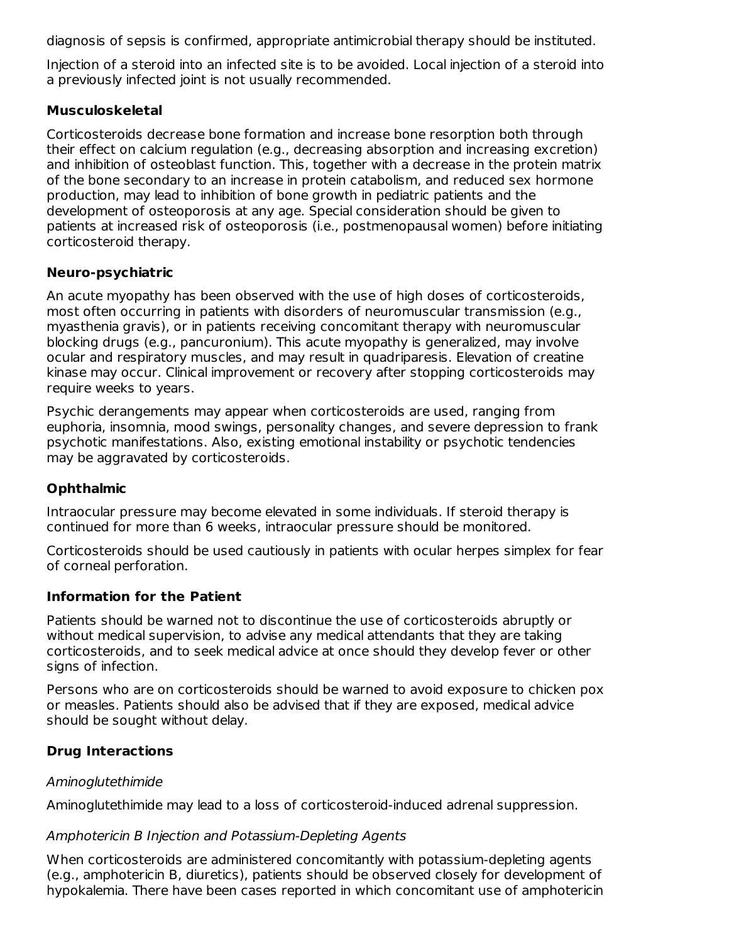diagnosis of sepsis is confirmed, appropriate antimicrobial therapy should be instituted.

Injection of a steroid into an infected site is to be avoided. Local injection of a steroid into a previously infected joint is not usually recommended.

## **Musculoskeletal**

Corticosteroids decrease bone formation and increase bone resorption both through their effect on calcium regulation (e.g., decreasing absorption and increasing excretion) and inhibition of osteoblast function. This, together with a decrease in the protein matrix of the bone secondary to an increase in protein catabolism, and reduced sex hormone production, may lead to inhibition of bone growth in pediatric patients and the development of osteoporosis at any age. Special consideration should be given to patients at increased risk of osteoporosis (i.e., postmenopausal women) before initiating corticosteroid therapy.

# **Neuro-psychiatric**

An acute myopathy has been observed with the use of high doses of corticosteroids, most often occurring in patients with disorders of neuromuscular transmission (e.g., myasthenia gravis), or in patients receiving concomitant therapy with neuromuscular blocking drugs (e.g., pancuronium). This acute myopathy is generalized, may involve ocular and respiratory muscles, and may result in quadriparesis. Elevation of creatine kinase may occur. Clinical improvement or recovery after stopping corticosteroids may require weeks to years.

Psychic derangements may appear when corticosteroids are used, ranging from euphoria, insomnia, mood swings, personality changes, and severe depression to frank psychotic manifestations. Also, existing emotional instability or psychotic tendencies may be aggravated by corticosteroids.

# **Ophthalmic**

Intraocular pressure may become elevated in some individuals. If steroid therapy is continued for more than 6 weeks, intraocular pressure should be monitored.

Corticosteroids should be used cautiously in patients with ocular herpes simplex for fear of corneal perforation.

## **Information for the Patient**

Patients should be warned not to discontinue the use of corticosteroids abruptly or without medical supervision, to advise any medical attendants that they are taking corticosteroids, and to seek medical advice at once should they develop fever or other signs of infection.

Persons who are on corticosteroids should be warned to avoid exposure to chicken pox or measles. Patients should also be advised that if they are exposed, medical advice should be sought without delay.

# **Drug Interactions**

## Aminoglutethimide

Aminoglutethimide may lead to a loss of corticosteroid-induced adrenal suppression.

## Amphotericin B Injection and Potassium-Depleting Agents

When corticosteroids are administered concomitantly with potassium-depleting agents (e.g., amphotericin B, diuretics), patients should be observed closely for development of hypokalemia. There have been cases reported in which concomitant use of amphotericin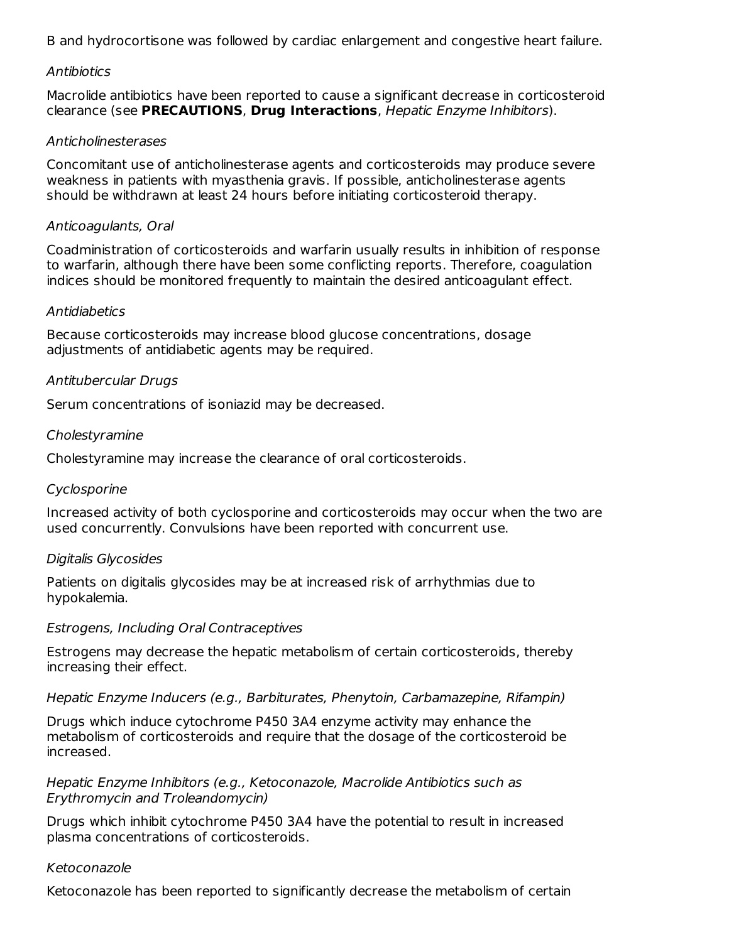B and hydrocortisone was followed by cardiac enlargement and congestive heart failure.

### Antibiotics

Macrolide antibiotics have been reported to cause a significant decrease in corticosteroid clearance (see **PRECAUTIONS**, **Drug Interactions**, Hepatic Enzyme Inhibitors).

### Anticholinesterases

Concomitant use of anticholinesterase agents and corticosteroids may produce severe weakness in patients with myasthenia gravis. If possible, anticholinesterase agents should be withdrawn at least 24 hours before initiating corticosteroid therapy.

### Anticoagulants, Oral

Coadministration of corticosteroids and warfarin usually results in inhibition of response to warfarin, although there have been some conflicting reports. Therefore, coagulation indices should be monitored frequently to maintain the desired anticoagulant effect.

### Antidiabetics

Because corticosteroids may increase blood glucose concentrations, dosage adjustments of antidiabetic agents may be required.

### Antitubercular Drugs

Serum concentrations of isoniazid may be decreased.

### Cholestyramine

Cholestyramine may increase the clearance of oral corticosteroids.

### Cyclosporine

Increased activity of both cyclosporine and corticosteroids may occur when the two are used concurrently. Convulsions have been reported with concurrent use.

## Digitalis Glycosides

Patients on digitalis glycosides may be at increased risk of arrhythmias due to hypokalemia.

### Estrogens, Including Oral Contraceptives

Estrogens may decrease the hepatic metabolism of certain corticosteroids, thereby increasing their effect.

### Hepatic Enzyme Inducers (e.g., Barbiturates, Phenytoin, Carbamazepine, Rifampin)

Drugs which induce cytochrome P450 3A4 enzyme activity may enhance the metabolism of corticosteroids and require that the dosage of the corticosteroid be increased.

### Hepatic Enzyme Inhibitors (e.g., Ketoconazole, Macrolide Antibiotics such as Erythromycin and Troleandomycin)

Drugs which inhibit cytochrome P450 3A4 have the potential to result in increased plasma concentrations of corticosteroids.

### Ketoconazole

Ketoconazole has been reported to significantly decrease the metabolism of certain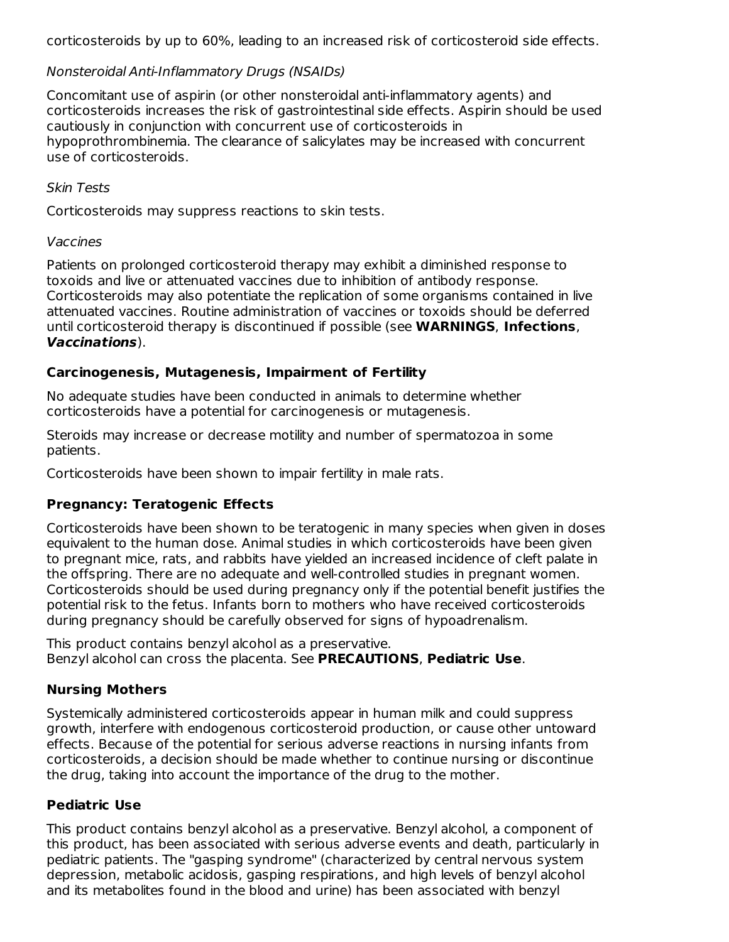corticosteroids by up to 60%, leading to an increased risk of corticosteroid side effects.

## Nonsteroidal Anti-Inflammatory Drugs (NSAIDs)

Concomitant use of aspirin (or other nonsteroidal anti-inflammatory agents) and corticosteroids increases the risk of gastrointestinal side effects. Aspirin should be used cautiously in conjunction with concurrent use of corticosteroids in hypoprothrombinemia. The clearance of salicylates may be increased with concurrent use of corticosteroids.

### Skin Tests

Corticosteroids may suppress reactions to skin tests.

### Vaccines

Patients on prolonged corticosteroid therapy may exhibit a diminished response to toxoids and live or attenuated vaccines due to inhibition of antibody response. Corticosteroids may also potentiate the replication of some organisms contained in live attenuated vaccines. Routine administration of vaccines or toxoids should be deferred until corticosteroid therapy is discontinued if possible (see **WARNINGS**, **Infections**, **Vaccinations**).

### **Carcinogenesis, Mutagenesis, Impairment of Fertility**

No adequate studies have been conducted in animals to determine whether corticosteroids have a potential for carcinogenesis or mutagenesis.

Steroids may increase or decrease motility and number of spermatozoa in some patients.

Corticosteroids have been shown to impair fertility in male rats.

## **Pregnancy: Teratogenic Effects**

Corticosteroids have been shown to be teratogenic in many species when given in doses equivalent to the human dose. Animal studies in which corticosteroids have been given to pregnant mice, rats, and rabbits have yielded an increased incidence of cleft palate in the offspring. There are no adequate and well-controlled studies in pregnant women. Corticosteroids should be used during pregnancy only if the potential benefit justifies the potential risk to the fetus. Infants born to mothers who have received corticosteroids during pregnancy should be carefully observed for signs of hypoadrenalism.

This product contains benzyl alcohol as a preservative. Benzyl alcohol can cross the placenta. See **PRECAUTIONS**, **Pediatric Use**.

## **Nursing Mothers**

Systemically administered corticosteroids appear in human milk and could suppress growth, interfere with endogenous corticosteroid production, or cause other untoward effects. Because of the potential for serious adverse reactions in nursing infants from corticosteroids, a decision should be made whether to continue nursing or discontinue the drug, taking into account the importance of the drug to the mother.

### **Pediatric Use**

This product contains benzyl alcohol as a preservative. Benzyl alcohol, a component of this product, has been associated with serious adverse events and death, particularly in pediatric patients. The "gasping syndrome" (characterized by central nervous system depression, metabolic acidosis, gasping respirations, and high levels of benzyl alcohol and its metabolites found in the blood and urine) has been associated with benzyl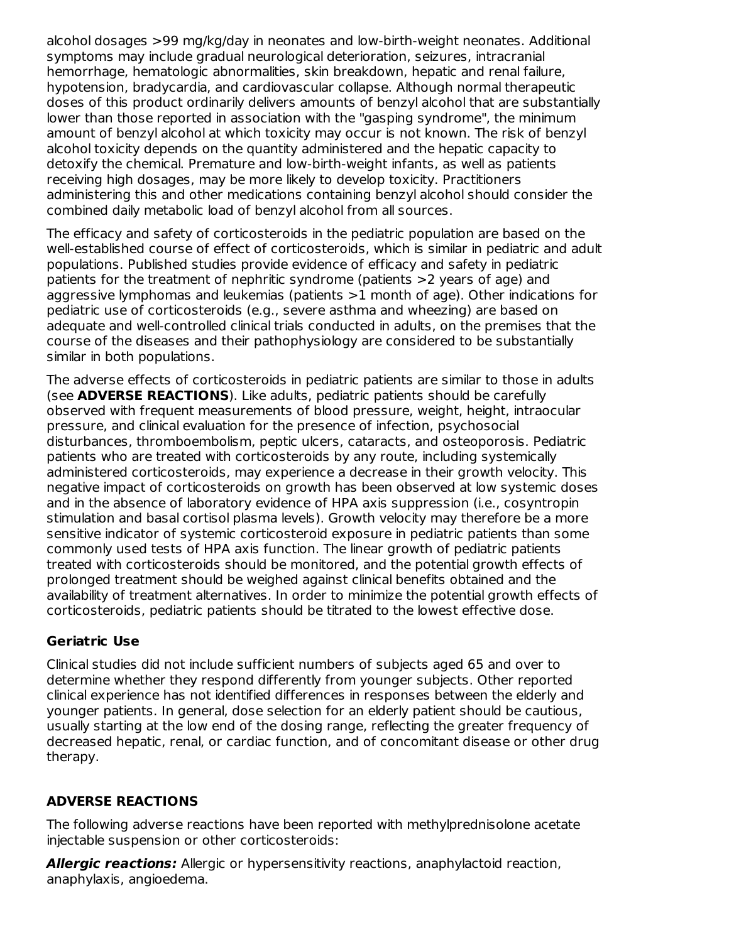alcohol dosages >99 mg/kg/day in neonates and low-birth-weight neonates. Additional symptoms may include gradual neurological deterioration, seizures, intracranial hemorrhage, hematologic abnormalities, skin breakdown, hepatic and renal failure, hypotension, bradycardia, and cardiovascular collapse. Although normal therapeutic doses of this product ordinarily delivers amounts of benzyl alcohol that are substantially lower than those reported in association with the "gasping syndrome", the minimum amount of benzyl alcohol at which toxicity may occur is not known. The risk of benzyl alcohol toxicity depends on the quantity administered and the hepatic capacity to detoxify the chemical. Premature and low-birth-weight infants, as well as patients receiving high dosages, may be more likely to develop toxicity. Practitioners administering this and other medications containing benzyl alcohol should consider the combined daily metabolic load of benzyl alcohol from all sources.

The efficacy and safety of corticosteroids in the pediatric population are based on the well-established course of effect of corticosteroids, which is similar in pediatric and adult populations. Published studies provide evidence of efficacy and safety in pediatric patients for the treatment of nephritic syndrome (patients >2 years of age) and aggressive lymphomas and leukemias (patients >1 month of age). Other indications for pediatric use of corticosteroids (e.g., severe asthma and wheezing) are based on adequate and well-controlled clinical trials conducted in adults, on the premises that the course of the diseases and their pathophysiology are considered to be substantially similar in both populations.

The adverse effects of corticosteroids in pediatric patients are similar to those in adults (see **ADVERSE REACTIONS**). Like adults, pediatric patients should be carefully observed with frequent measurements of blood pressure, weight, height, intraocular pressure, and clinical evaluation for the presence of infection, psychosocial disturbances, thromboembolism, peptic ulcers, cataracts, and osteoporosis. Pediatric patients who are treated with corticosteroids by any route, including systemically administered corticosteroids, may experience a decrease in their growth velocity. This negative impact of corticosteroids on growth has been observed at low systemic doses and in the absence of laboratory evidence of HPA axis suppression (i.e., cosyntropin stimulation and basal cortisol plasma levels). Growth velocity may therefore be a more sensitive indicator of systemic corticosteroid exposure in pediatric patients than some commonly used tests of HPA axis function. The linear growth of pediatric patients treated with corticosteroids should be monitored, and the potential growth effects of prolonged treatment should be weighed against clinical benefits obtained and the availability of treatment alternatives. In order to minimize the potential growth effects of corticosteroids, pediatric patients should be titrated to the lowest effective dose.

## **Geriatric Use**

Clinical studies did not include sufficient numbers of subjects aged 65 and over to determine whether they respond differently from younger subjects. Other reported clinical experience has not identified differences in responses between the elderly and younger patients. In general, dose selection for an elderly patient should be cautious, usually starting at the low end of the dosing range, reflecting the greater frequency of decreased hepatic, renal, or cardiac function, and of concomitant disease or other drug therapy.

## **ADVERSE REACTIONS**

The following adverse reactions have been reported with methylprednisolone acetate injectable suspension or other corticosteroids:

**Allergic reactions:** Allergic or hypersensitivity reactions, anaphylactoid reaction, anaphylaxis, angioedema.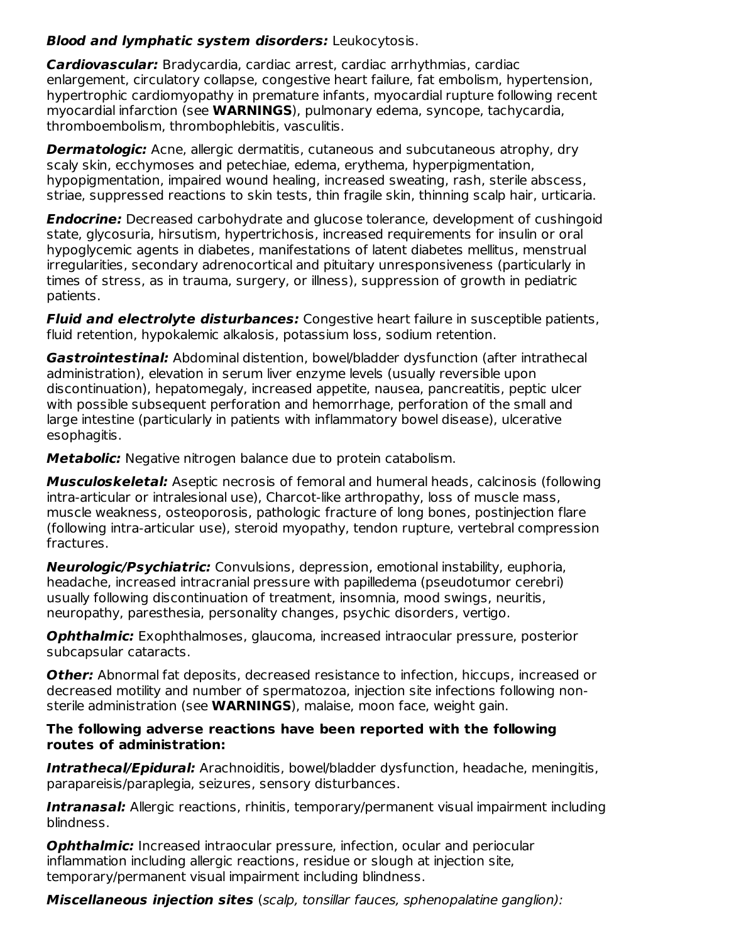## **Blood and lymphatic system disorders:** Leukocytosis.

**Cardiovascular:** Bradycardia, cardiac arrest, cardiac arrhythmias, cardiac enlargement, circulatory collapse, congestive heart failure, fat embolism, hypertension, hypertrophic cardiomyopathy in premature infants, myocardial rupture following recent myocardial infarction (see **WARNINGS**), pulmonary edema, syncope, tachycardia, thromboembolism, thrombophlebitis, vasculitis.

**Dermatologic:** Acne, allergic dermatitis, cutaneous and subcutaneous atrophy, dry scaly skin, ecchymoses and petechiae, edema, erythema, hyperpigmentation, hypopigmentation, impaired wound healing, increased sweating, rash, sterile abscess, striae, suppressed reactions to skin tests, thin fragile skin, thinning scalp hair, urticaria.

**Endocrine:** Decreased carbohydrate and glucose tolerance, development of cushingoid state, glycosuria, hirsutism, hypertrichosis, increased requirements for insulin or oral hypoglycemic agents in diabetes, manifestations of latent diabetes mellitus, menstrual irregularities, secondary adrenocortical and pituitary unresponsiveness (particularly in times of stress, as in trauma, surgery, or illness), suppression of growth in pediatric patients.

**Fluid and electrolyte disturbances:** Congestive heart failure in susceptible patients, fluid retention, hypokalemic alkalosis, potassium loss, sodium retention.

**Gastrointestinal:** Abdominal distention, bowel/bladder dysfunction (after intrathecal administration), elevation in serum liver enzyme levels (usually reversible upon discontinuation), hepatomegaly, increased appetite, nausea, pancreatitis, peptic ulcer with possible subsequent perforation and hemorrhage, perforation of the small and large intestine (particularly in patients with inflammatory bowel disease), ulcerative esophagitis.

**Metabolic:** Negative nitrogen balance due to protein catabolism.

**Musculoskeletal:** Aseptic necrosis of femoral and humeral heads, calcinosis (following intra-articular or intralesional use), Charcot-like arthropathy, loss of muscle mass, muscle weakness, osteoporosis, pathologic fracture of long bones, postinjection flare (following intra-articular use), steroid myopathy, tendon rupture, vertebral compression fractures.

**Neurologic/Psychiatric:** Convulsions, depression, emotional instability, euphoria, headache, increased intracranial pressure with papilledema (pseudotumor cerebri) usually following discontinuation of treatment, insomnia, mood swings, neuritis, neuropathy, paresthesia, personality changes, psychic disorders, vertigo.

**Ophthalmic:** Exophthalmoses, glaucoma, increased intraocular pressure, posterior subcapsular cataracts.

**Other:** Abnormal fat deposits, decreased resistance to infection, hiccups, increased or decreased motility and number of spermatozoa, injection site infections following nonsterile administration (see **WARNINGS**), malaise, moon face, weight gain.

### **The following adverse reactions have been reported with the following routes of administration:**

**Intrathecal/Epidural:** Arachnoiditis, bowel/bladder dysfunction, headache, meningitis, parapareisis/paraplegia, seizures, sensory disturbances.

**Intranasal:** Allergic reactions, rhinitis, temporary/permanent visual impairment including blindness.

**Ophthalmic:** Increased intraocular pressure, infection, ocular and periocular inflammation including allergic reactions, residue or slough at injection site, temporary/permanent visual impairment including blindness.

**Miscellaneous injection sites** (scalp, tonsillar fauces, sphenopalatine ganglion):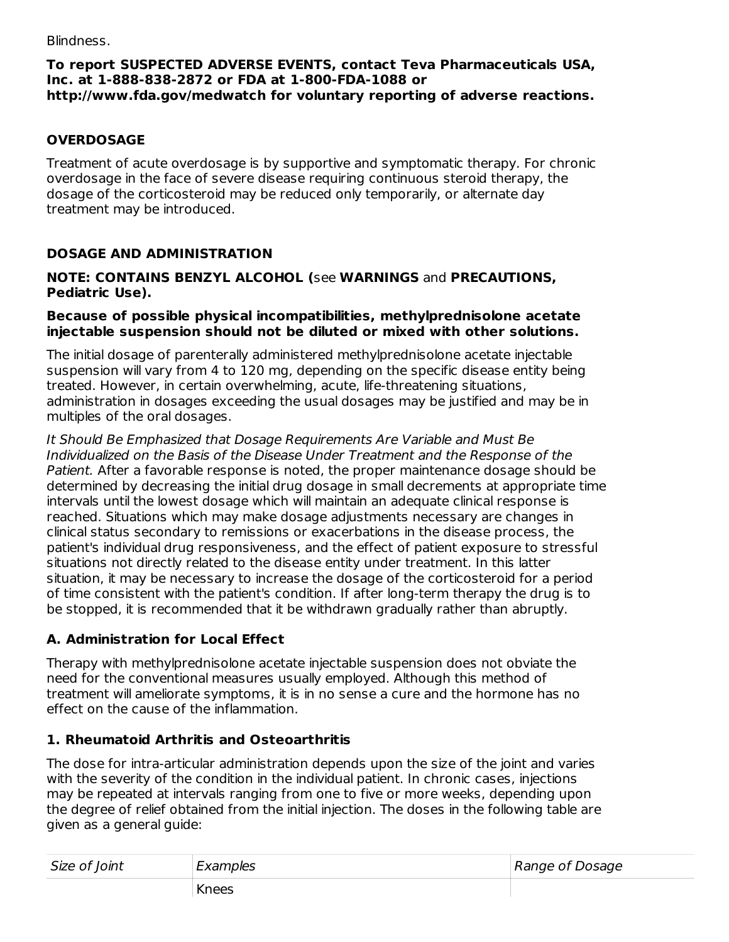Blindness.

### **To report SUSPECTED ADVERSE EVENTS, contact Teva Pharmaceuticals USA, Inc. at 1-888-838-2872 or FDA at 1-800-FDA-1088 or http://www.fda.gov/medwatch for voluntary reporting of adverse reactions.**

# **OVERDOSAGE**

Treatment of acute overdosage is by supportive and symptomatic therapy. For chronic overdosage in the face of severe disease requiring continuous steroid therapy, the dosage of the corticosteroid may be reduced only temporarily, or alternate day treatment may be introduced.

# **DOSAGE AND ADMINISTRATION**

**NOTE: CONTAINS BENZYL ALCOHOL (**see **WARNINGS** and **PRECAUTIONS, Pediatric Use).**

### **Because of possible physical incompatibilities, methylprednisolone acetate injectable suspension should not be diluted or mixed with other solutions.**

The initial dosage of parenterally administered methylprednisolone acetate injectable suspension will vary from 4 to 120 mg, depending on the specific disease entity being treated. However, in certain overwhelming, acute, life-threatening situations, administration in dosages exceeding the usual dosages may be justified and may be in multiples of the oral dosages.

It Should Be Emphasized that Dosage Requirements Are Variable and Must Be Individualized on the Basis of the Disease Under Treatment and the Response of the Patient. After a favorable response is noted, the proper maintenance dosage should be determined by decreasing the initial drug dosage in small decrements at appropriate time intervals until the lowest dosage which will maintain an adequate clinical response is reached. Situations which may make dosage adjustments necessary are changes in clinical status secondary to remissions or exacerbations in the disease process, the patient's individual drug responsiveness, and the effect of patient exposure to stressful situations not directly related to the disease entity under treatment. In this latter situation, it may be necessary to increase the dosage of the corticosteroid for a period of time consistent with the patient's condition. If after long-term therapy the drug is to be stopped, it is recommended that it be withdrawn gradually rather than abruptly.

## **A. Administration for Local Effect**

Therapy with methylprednisolone acetate injectable suspension does not obviate the need for the conventional measures usually employed. Although this method of treatment will ameliorate symptoms, it is in no sense a cure and the hormone has no effect on the cause of the inflammation.

## **1. Rheumatoid Arthritis and Osteoarthritis**

The dose for intra-articular administration depends upon the size of the joint and varies with the severity of the condition in the individual patient. In chronic cases, injections may be repeated at intervals ranging from one to five or more weeks, depending upon the degree of relief obtained from the initial injection. The doses in the following table are given as a general guide:

| Size of Joint | Examples | <b>Range of Dosage</b> |
|---------------|----------|------------------------|
|               | Knees    |                        |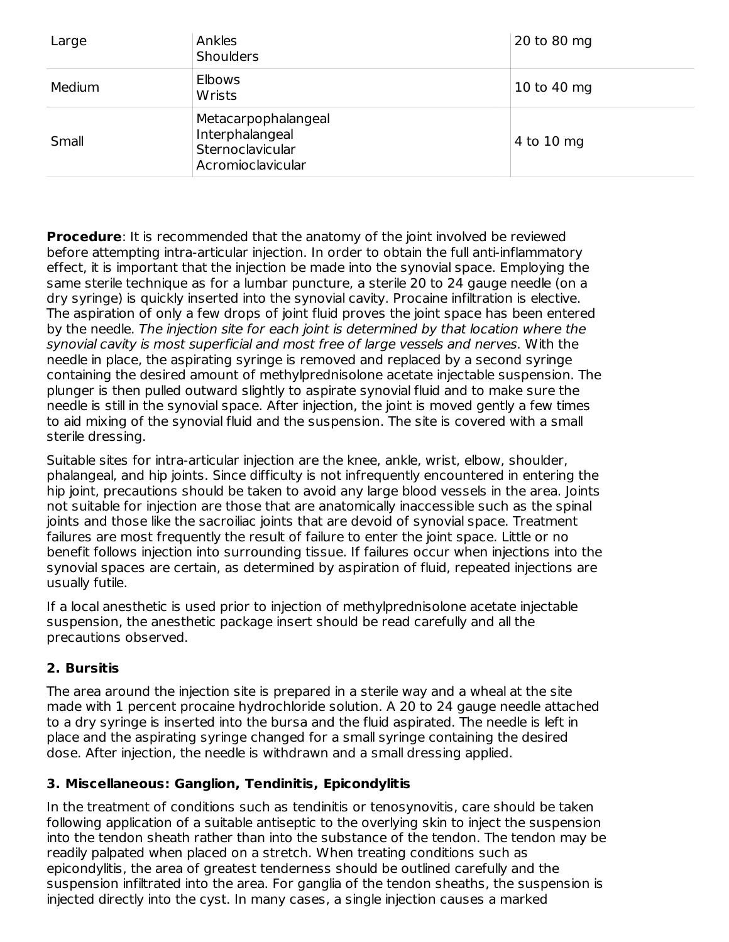| Large  | Ankles<br><b>Shoulders</b>                                                      | 20 to 80 mg |
|--------|---------------------------------------------------------------------------------|-------------|
| Medium | Elbows<br>Wrists                                                                | 10 to 40 mg |
| Small  | Metacarpophalangeal<br>Interphalangeal<br>Sternoclavicular<br>Acromioclavicular | 4 to 10 mg  |

**Procedure**: It is recommended that the anatomy of the joint involved be reviewed before attempting intra-articular injection. In order to obtain the full anti-inflammatory effect, it is important that the injection be made into the synovial space. Employing the same sterile technique as for a lumbar puncture, a sterile 20 to 24 gauge needle (on a dry syringe) is quickly inserted into the synovial cavity. Procaine infiltration is elective. The aspiration of only a few drops of joint fluid proves the joint space has been entered by the needle. The injection site for each joint is determined by that location where the synovial cavity is most superficial and most free of large vessels and nerves. With the needle in place, the aspirating syringe is removed and replaced by a second syringe containing the desired amount of methylprednisolone acetate injectable suspension. The plunger is then pulled outward slightly to aspirate synovial fluid and to make sure the needle is still in the synovial space. After injection, the joint is moved gently a few times to aid mixing of the synovial fluid and the suspension. The site is covered with a small sterile dressing.

Suitable sites for intra-articular injection are the knee, ankle, wrist, elbow, shoulder, phalangeal, and hip joints. Since difficulty is not infrequently encountered in entering the hip joint, precautions should be taken to avoid any large blood vessels in the area. Joints not suitable for injection are those that are anatomically inaccessible such as the spinal joints and those like the sacroiliac joints that are devoid of synovial space. Treatment failures are most frequently the result of failure to enter the joint space. Little or no benefit follows injection into surrounding tissue. If failures occur when injections into the synovial spaces are certain, as determined by aspiration of fluid, repeated injections are usually futile.

If a local anesthetic is used prior to injection of methylprednisolone acetate injectable suspension, the anesthetic package insert should be read carefully and all the precautions observed.

# **2. Bursitis**

The area around the injection site is prepared in a sterile way and a wheal at the site made with 1 percent procaine hydrochloride solution. A 20 to 24 gauge needle attached to a dry syringe is inserted into the bursa and the fluid aspirated. The needle is left in place and the aspirating syringe changed for a small syringe containing the desired dose. After injection, the needle is withdrawn and a small dressing applied.

# **3. Miscellaneous: Ganglion, Tendinitis, Epicondylitis**

In the treatment of conditions such as tendinitis or tenosynovitis, care should be taken following application of a suitable antiseptic to the overlying skin to inject the suspension into the tendon sheath rather than into the substance of the tendon. The tendon may be readily palpated when placed on a stretch. When treating conditions such as epicondylitis, the area of greatest tenderness should be outlined carefully and the suspension infiltrated into the area. For ganglia of the tendon sheaths, the suspension is injected directly into the cyst. In many cases, a single injection causes a marked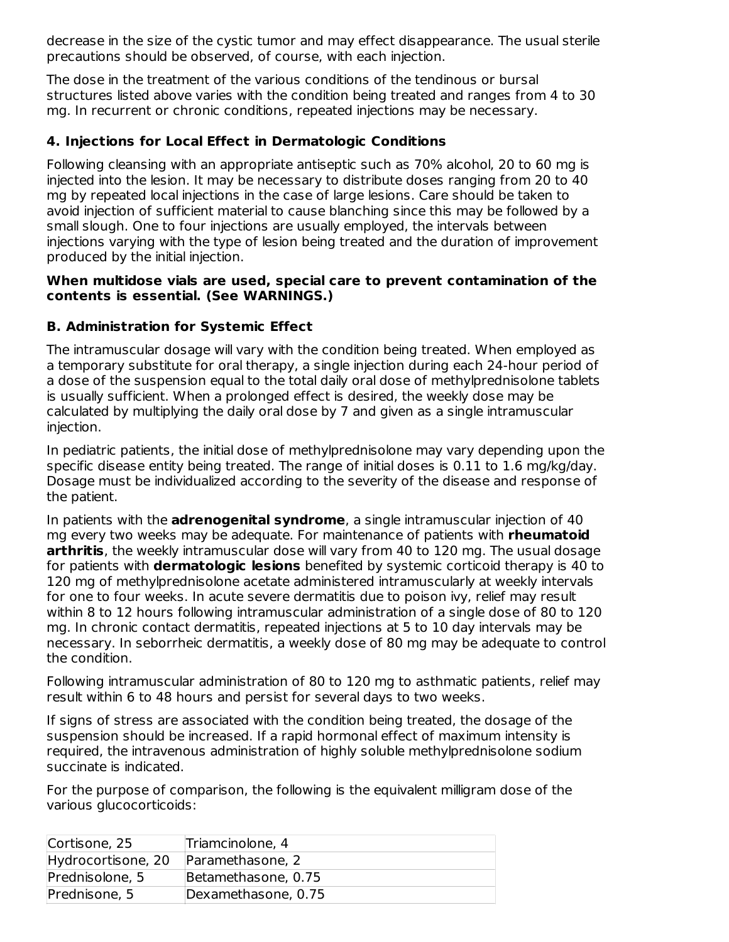decrease in the size of the cystic tumor and may effect disappearance. The usual sterile precautions should be observed, of course, with each injection.

The dose in the treatment of the various conditions of the tendinous or bursal structures listed above varies with the condition being treated and ranges from 4 to 30 mg. In recurrent or chronic conditions, repeated injections may be necessary.

## **4. Injections for Local Effect in Dermatologic Conditions**

Following cleansing with an appropriate antiseptic such as 70% alcohol, 20 to 60 mg is injected into the lesion. It may be necessary to distribute doses ranging from 20 to 40 mg by repeated local injections in the case of large lesions. Care should be taken to avoid injection of sufficient material to cause blanching since this may be followed by a small slough. One to four injections are usually employed, the intervals between injections varying with the type of lesion being treated and the duration of improvement produced by the initial injection.

### **When multidose vials are used, special care to prevent contamination of the contents is essential. (See WARNINGS.)**

# **B. Administration for Systemic Effect**

The intramuscular dosage will vary with the condition being treated. When employed as a temporary substitute for oral therapy, a single injection during each 24-hour period of a dose of the suspension equal to the total daily oral dose of methylprednisolone tablets is usually sufficient. When a prolonged effect is desired, the weekly dose may be calculated by multiplying the daily oral dose by 7 and given as a single intramuscular injection.

In pediatric patients, the initial dose of methylprednisolone may vary depending upon the specific disease entity being treated. The range of initial doses is 0.11 to 1.6 mg/kg/day. Dosage must be individualized according to the severity of the disease and response of the patient.

In patients with the **adrenogenital syndrome**, a single intramuscular injection of 40 mg every two weeks may be adequate. For maintenance of patients with **rheumatoid arthritis**, the weekly intramuscular dose will vary from 40 to 120 mg. The usual dosage for patients with **dermatologic lesions** benefited by systemic corticoid therapy is 40 to 120 mg of methylprednisolone acetate administered intramuscularly at weekly intervals for one to four weeks. In acute severe dermatitis due to poison ivy, relief may result within 8 to 12 hours following intramuscular administration of a single dose of 80 to 120 mg. In chronic contact dermatitis, repeated injections at 5 to 10 day intervals may be necessary. In seborrheic dermatitis, a weekly dose of 80 mg may be adequate to control the condition.

Following intramuscular administration of 80 to 120 mg to asthmatic patients, relief may result within 6 to 48 hours and persist for several days to two weeks.

If signs of stress are associated with the condition being treated, the dosage of the suspension should be increased. If a rapid hormonal effect of maximum intensity is required, the intravenous administration of highly soluble methylprednisolone sodium succinate is indicated.

For the purpose of comparison, the following is the equivalent milligram dose of the various glucocorticoids:

| Cortisone, 25      | Triamcinolone, 4    |
|--------------------|---------------------|
| Hydrocortisone, 20 | Paramethasone, 2    |
| Prednisolone, 5    | Betamethasone, 0.75 |
| Prednisone, 5      | Dexamethasone, 0.75 |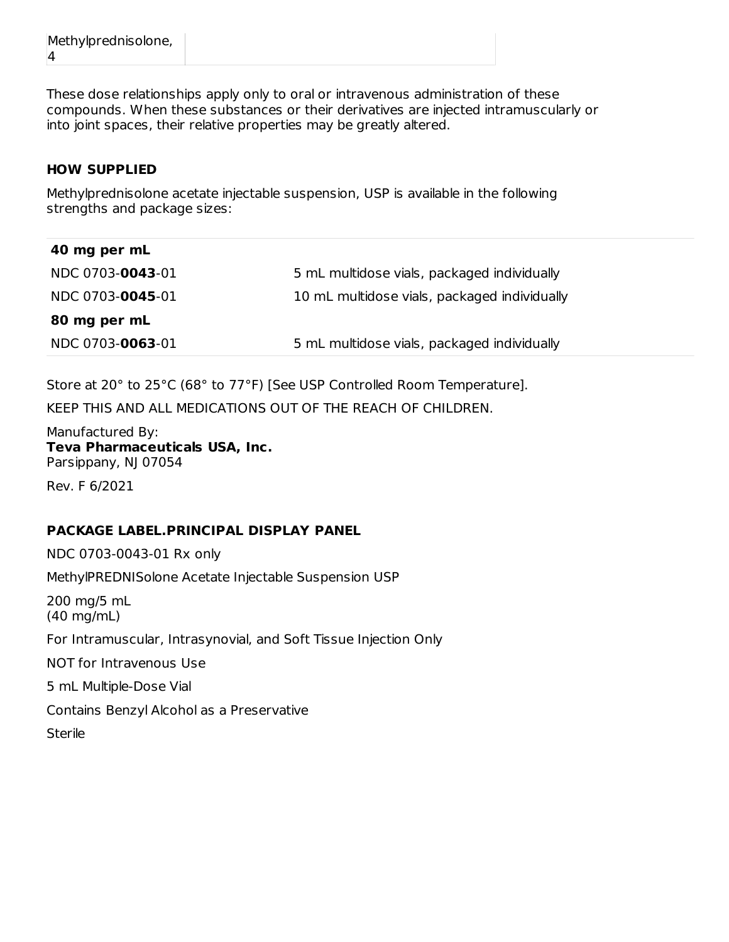These dose relationships apply only to oral or intravenous administration of these compounds. When these substances or their derivatives are injected intramuscularly or into joint spaces, their relative properties may be greatly altered.

## **HOW SUPPLIED**

Methylprednisolone acetate injectable suspension, USP is available in the following strengths and package sizes:

| 40 mg per mL     |                                              |
|------------------|----------------------------------------------|
| NDC 0703-0043-01 | 5 mL multidose vials, packaged individually  |
| NDC 0703-0045-01 | 10 mL multidose vials, packaged individually |
| 80 mg per mL     |                                              |
| NDC 0703-0063-01 | 5 mL multidose vials, packaged individually  |

Store at 20° to 25°C (68° to 77°F) [See USP Controlled Room Temperature].

KEEP THIS AND ALL MEDICATIONS OUT OF THE REACH OF CHILDREN.

Manufactured By: **Teva Pharmaceuticals USA, Inc.** Parsippany, NJ 07054 Rev. F 6/2021

## **PACKAGE LABEL.PRINCIPAL DISPLAY PANEL**

NDC 0703-0043-01 Rx only

MethylPREDNISolone Acetate Injectable Suspension USP

200 mg/5 mL (40 mg/mL)

For Intramuscular, Intrasynovial, and Soft Tissue Injection Only

NOT for Intravenous Use

5 mL Multiple-Dose Vial

Contains Benzyl Alcohol as a Preservative

**Sterile**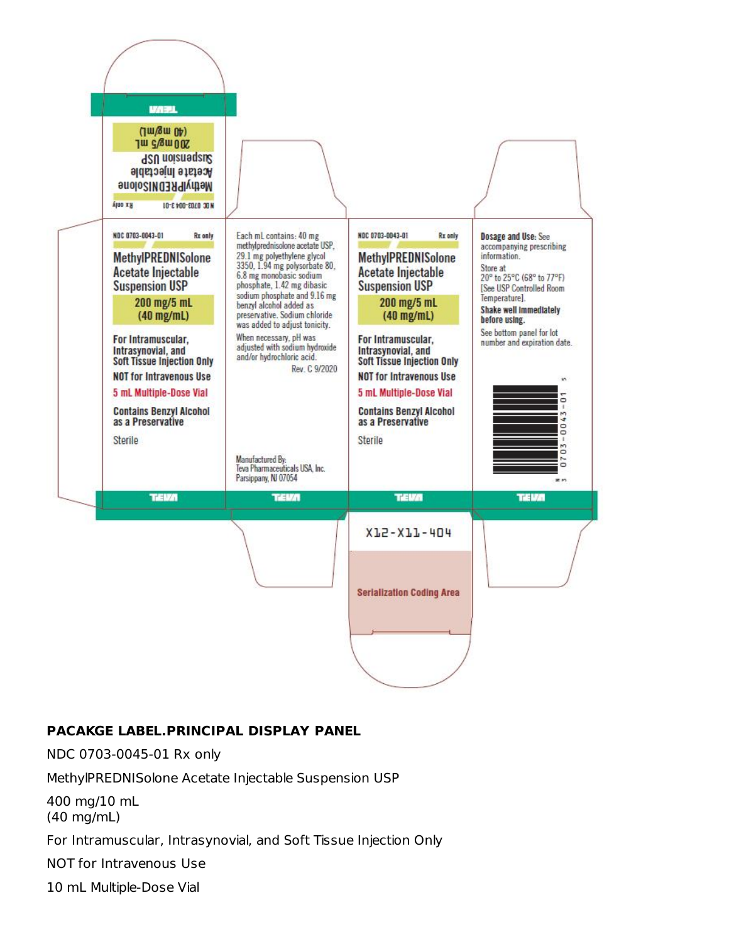

## **PACAKGE LABEL.PRINCIPAL DISPLAY PANEL**

NDC 0703-0045-01 Rx only

MethylPREDNISolone Acetate Injectable Suspension USP

400 mg/10 mL (40 mg/mL)

For Intramuscular, Intrasynovial, and Soft Tissue Injection Only

NOT for Intravenous Use

10 mL Multiple-Dose Vial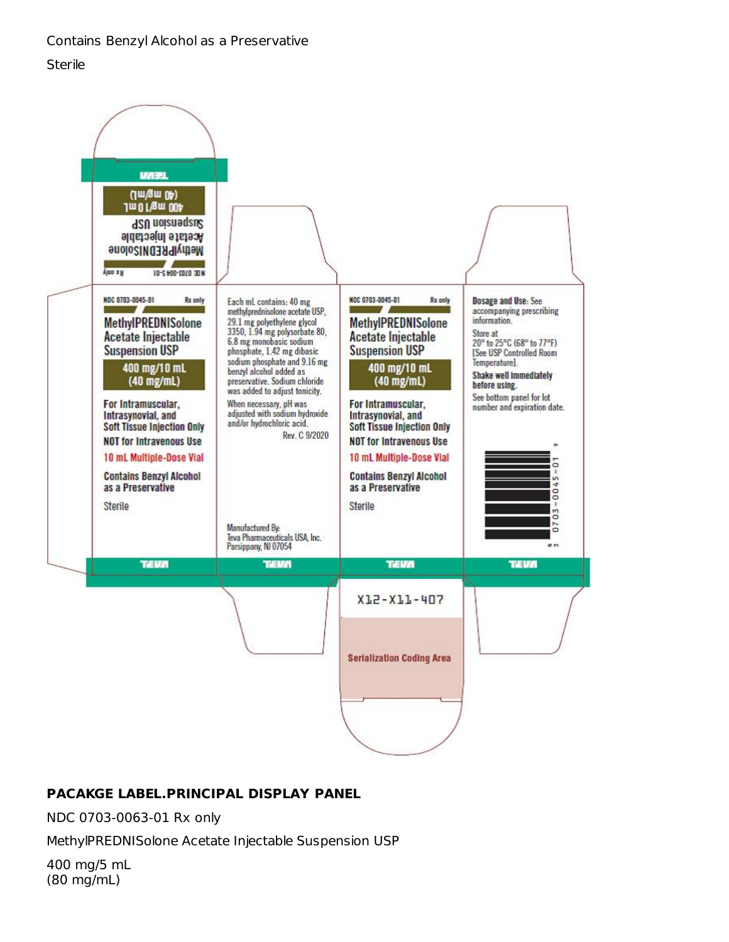## Contains Benzyl Alcohol as a Preservative

### **Sterile**



# **PACAKGE LABEL.PRINCIPAL DISPLAY PANEL**

NDC 0703-0063-01 Rx only

MethylPREDNISolone Acetate Injectable Suspension USP

400 mg/5 mL (80 mg/mL)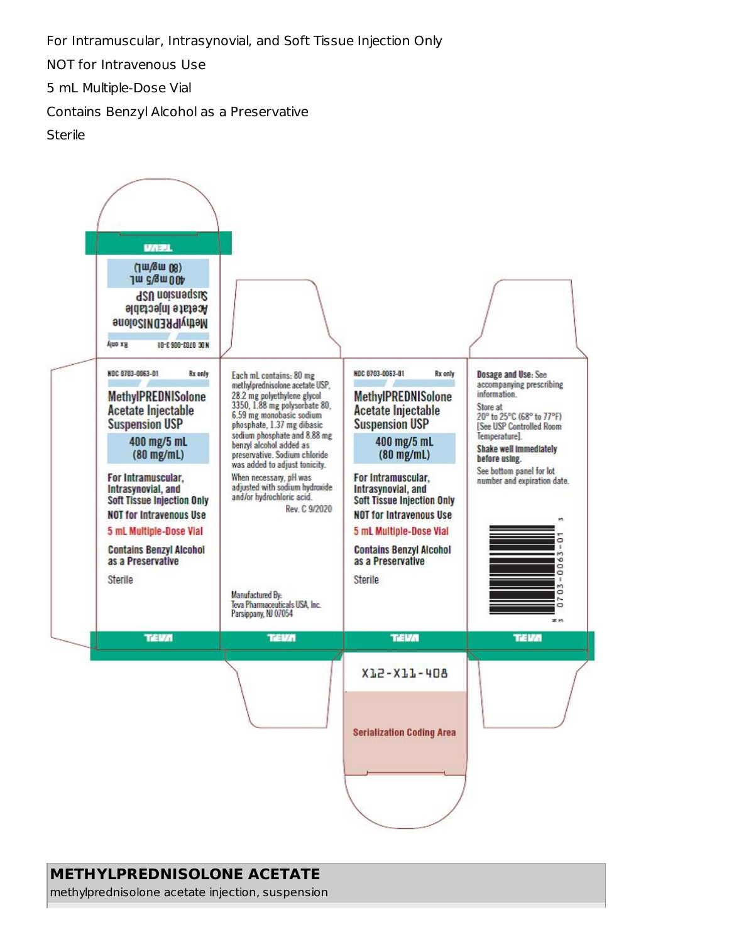For Intramuscular, Intrasynovial, and Soft Tissue Injection Only

NOT for Intravenous Use

5 mL Multiple-Dose Vial

Contains Benzyl Alcohol as a Preservative

Sterile



# **METHYLPREDNISOLONE ACETATE**

methylprednisolone acetate injection, suspension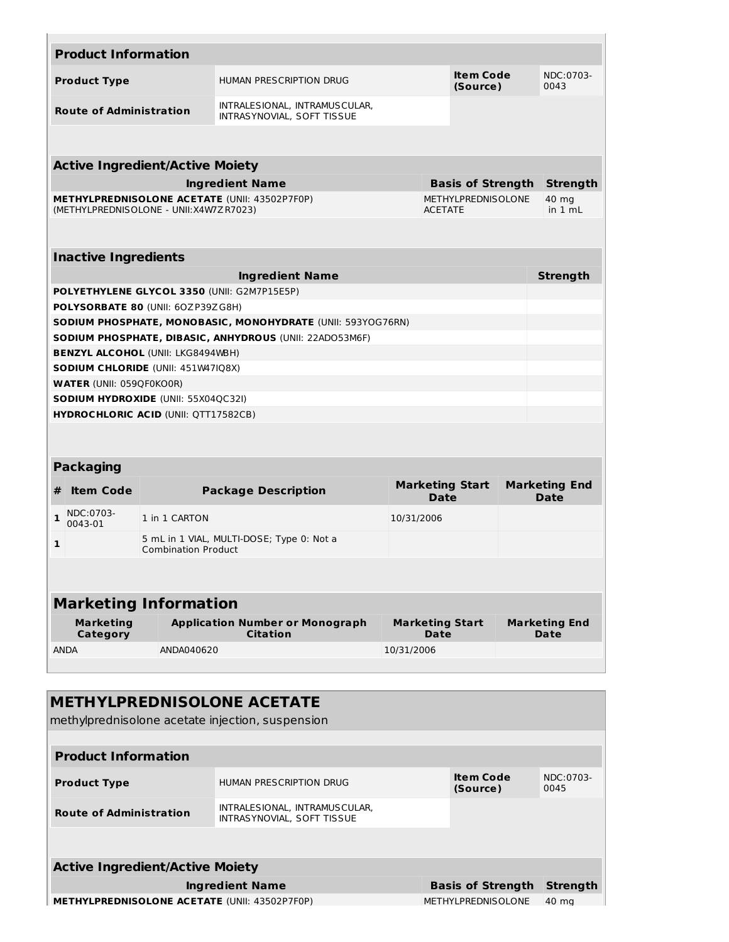|   | <b>Product Information</b>                  |                            |                                                                    |            |                |                              |                                     |
|---|---------------------------------------------|----------------------------|--------------------------------------------------------------------|------------|----------------|------------------------------|-------------------------------------|
|   | <b>Product Type</b>                         |                            | HUMAN PRESCRIPTION DRUG                                            |            |                | <b>Item Code</b><br>(Source) | NDC:0703-<br>0043                   |
|   | <b>Route of Administration</b>              |                            | INTRALESIONAL, INTRAMUSCULAR,<br>INTRASYNOVIAL, SOFT TISSUE        |            |                |                              |                                     |
|   |                                             |                            |                                                                    |            |                |                              |                                     |
|   |                                             |                            |                                                                    |            |                |                              |                                     |
|   | <b>Active Ingredient/Active Moiety</b>      |                            |                                                                    |            |                |                              |                                     |
|   |                                             |                            | <b>Ingredient Name</b>                                             |            |                | <b>Basis of Strength</b>     | <b>Strength</b>                     |
|   | (METHYLPREDNISOLONE - UNII: X4W7ZR7023)     |                            | <b>METHYLPREDNISOLONE ACETATE (UNII: 43502P7F0P)</b>               |            | <b>ACETATE</b> | METHYLPREDNIS OLONE          | 40 mg<br>in $1 mL$                  |
|   | <b>Inactive Ingredients</b>                 |                            |                                                                    |            |                |                              |                                     |
|   |                                             |                            | <b>Ingredient Name</b>                                             |            |                |                              | <b>Strength</b>                     |
|   |                                             |                            | POLYETHYLENE GLYCOL 3350 (UNII: G2M7P15E5P)                        |            |                |                              |                                     |
|   | <b>POLYSORBATE 80 (UNII: 60ZP39ZG8H)</b>    |                            |                                                                    |            |                |                              |                                     |
|   |                                             |                            | <b>SODIUM PHOSPHATE, MONOBASIC, MONOHYDRATE (UNII: 593YOG76RN)</b> |            |                |                              |                                     |
|   |                                             |                            | SODIUM PHOSPHATE, DIBASIC, ANHYDROUS (UNII: 22AD053M6F)            |            |                |                              |                                     |
|   | <b>BENZYL ALCOHOL (UNII: LKG8494WBH)</b>    |                            |                                                                    |            |                |                              |                                     |
|   | <b>SODIUM CHLORIDE (UNII: 451W47IQ8X)</b>   |                            |                                                                    |            |                |                              |                                     |
|   | <b>WATER (UNII: 059QF0KO0R)</b>             |                            |                                                                    |            |                |                              |                                     |
|   | <b>SODIUM HYDROXIDE (UNII: 55X04QC32I)</b>  |                            |                                                                    |            |                |                              |                                     |
|   | <b>HYDROCHLORIC ACID (UNII: QTT17582CB)</b> |                            |                                                                    |            |                |                              |                                     |
|   |                                             |                            |                                                                    |            |                |                              |                                     |
|   | <b>Packaging</b>                            |                            |                                                                    |            |                |                              |                                     |
|   |                                             |                            |                                                                    |            |                |                              |                                     |
| # | <b>Item Code</b>                            |                            | <b>Package Description</b>                                         |            | Date           | <b>Marketing Start</b>       | <b>Marketing End</b><br><b>Date</b> |
| 1 | NDC:0703-<br>0043-01                        | 1 in 1 CARTON              |                                                                    | 10/31/2006 |                |                              |                                     |
| 1 |                                             | <b>Combination Product</b> | 5 mL in 1 VIAL, MULTI-DOSE; Type 0: Not a                          |            |                |                              |                                     |
|   |                                             |                            |                                                                    |            |                |                              |                                     |
|   | <b>Marketing Information</b>                |                            |                                                                    |            |                |                              |                                     |
|   | <b>Marketing</b>                            |                            | <b>Application Number or Monograph</b>                             |            |                | <b>Marketing Start</b>       | <b>Marketing End</b>                |
|   | Category                                    |                            | <b>Citation</b>                                                    |            | Date           |                              | Date                                |
|   | <b>ANDA</b>                                 | ANDA040620                 |                                                                    | 10/31/2006 |                |                              |                                     |
|   |                                             |                            |                                                                    |            |                |                              |                                     |
|   |                                             |                            |                                                                    |            |                |                              |                                     |
|   |                                             |                            | <b>METHYLPREDNISOLONE ACETATE</b>                                  |            |                |                              |                                     |
|   |                                             |                            | methylprednisolone acetate injection, suspension                   |            |                |                              |                                     |
|   |                                             |                            |                                                                    |            |                |                              |                                     |
|   | <b>Product Information</b>                  |                            |                                                                    |            |                |                              |                                     |
|   | <b>Product Type</b>                         |                            | HUMAN PRESCRIPTION DRUG                                            |            |                | <b>Item Code</b><br>(Source) | NDC:0703-<br>0045                   |
|   | <b>Route of Administration</b>              |                            | INTRALESIONAL, INTRAMUSCULAR,<br>INTRASYNOVIAL, SOFT TISSUE        |            |                |                              |                                     |
|   |                                             |                            |                                                                    |            |                |                              |                                     |
|   |                                             |                            |                                                                    |            |                |                              |                                     |
|   | <b>Active Ingredient/Active Moiety</b>      |                            | <b>Ingredient Name</b>                                             |            |                |                              | <b>Basis of Strength Strength</b>   |

**METHYLPREDNISOLONE ACETATE** (UNII: 43502P7F0P) METHYLPREDNISOLONE 40 mg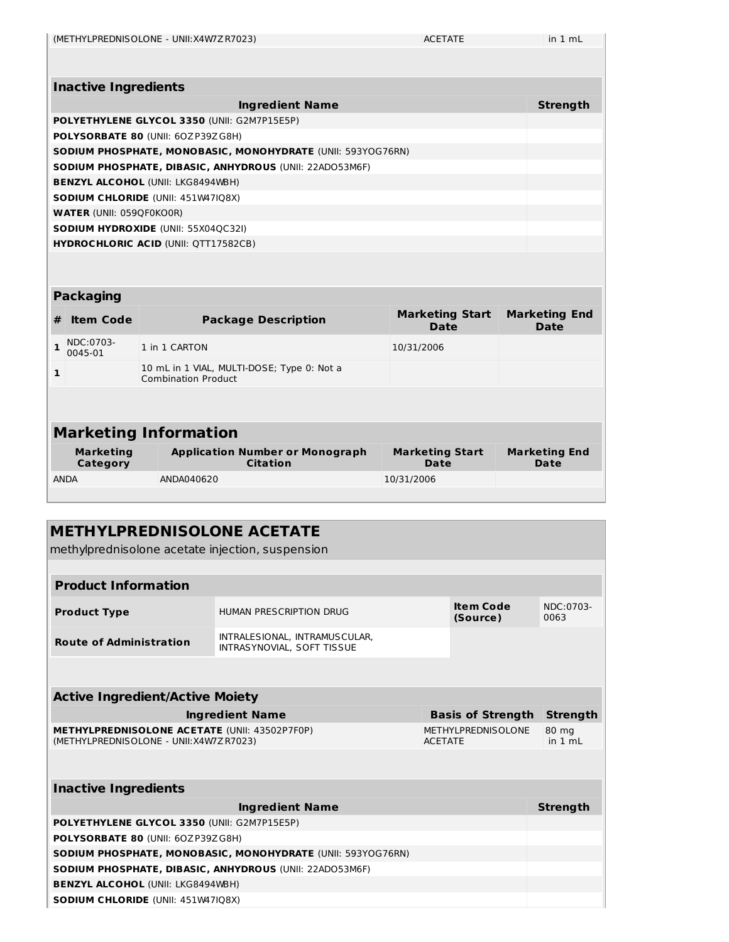| (METHYLPREDNISOLONE - UNII: X4W7ZR7023)<br><b>ACETATE</b>                                                                                                   |                                                  |                                                                          |                                       |                                     |  |  |  |  |
|-------------------------------------------------------------------------------------------------------------------------------------------------------------|--------------------------------------------------|--------------------------------------------------------------------------|---------------------------------------|-------------------------------------|--|--|--|--|
|                                                                                                                                                             |                                                  |                                                                          |                                       |                                     |  |  |  |  |
|                                                                                                                                                             |                                                  |                                                                          |                                       |                                     |  |  |  |  |
| <b>Inactive Ingredients</b>                                                                                                                                 |                                                  |                                                                          |                                       |                                     |  |  |  |  |
| <b>Ingredient Name</b>                                                                                                                                      |                                                  |                                                                          |                                       |                                     |  |  |  |  |
| POLYETHYLENE GLYCOL 3350 (UNII: G2M7P15E5P)                                                                                                                 |                                                  |                                                                          |                                       |                                     |  |  |  |  |
|                                                                                                                                                             |                                                  | POLYSORBATE 80 (UNII: 60ZP39ZG8H)                                        |                                       |                                     |  |  |  |  |
|                                                                                                                                                             |                                                  | SODIUM PHOSPHATE, MONOBASIC, MONOHYDRATE (UNII: 593YOG76RN)              |                                       |                                     |  |  |  |  |
|                                                                                                                                                             |                                                  | SODIUM PHOSPHATE, DIBASIC, ANHYDROUS (UNII: 22AD053M6F)                  |                                       |                                     |  |  |  |  |
|                                                                                                                                                             |                                                  | <b>BENZYL ALCOHOL (UNII: LKG8494WBH)</b>                                 |                                       |                                     |  |  |  |  |
|                                                                                                                                                             |                                                  | SODIUM CHLORIDE (UNII: 451W47IQ8X)                                       |                                       |                                     |  |  |  |  |
|                                                                                                                                                             | <b>WATER (UNII: 059QF0KO0R)</b>                  |                                                                          |                                       |                                     |  |  |  |  |
|                                                                                                                                                             |                                                  | <b>SODIUM HYDROXIDE (UNII: 55X04QC32I)</b>                               |                                       |                                     |  |  |  |  |
|                                                                                                                                                             |                                                  | <b>HYDROCHLORIC ACID (UNII: QTT17582CB)</b>                              |                                       |                                     |  |  |  |  |
|                                                                                                                                                             |                                                  |                                                                          |                                       |                                     |  |  |  |  |
|                                                                                                                                                             |                                                  |                                                                          |                                       |                                     |  |  |  |  |
|                                                                                                                                                             | <b>Packaging</b>                                 |                                                                          |                                       |                                     |  |  |  |  |
| #                                                                                                                                                           | <b>Item Code</b>                                 | <b>Package Description</b>                                               | <b>Marketing Start</b><br><b>Date</b> | <b>Marketing End</b><br><b>Date</b> |  |  |  |  |
| $\mathbf{1}$                                                                                                                                                | NDC:0703-<br>0045-01                             | 1 in 1 CARTON                                                            | 10/31/2006                            |                                     |  |  |  |  |
| 1                                                                                                                                                           |                                                  | 10 mL in 1 VIAL, MULTI-DOSE; Type 0: Not a<br><b>Combination Product</b> |                                       |                                     |  |  |  |  |
|                                                                                                                                                             |                                                  |                                                                          |                                       |                                     |  |  |  |  |
|                                                                                                                                                             |                                                  |                                                                          |                                       |                                     |  |  |  |  |
|                                                                                                                                                             |                                                  | <b>Marketing Information</b>                                             |                                       |                                     |  |  |  |  |
| <b>Marketing</b><br><b>Application Number or Monograph</b><br><b>Marketing Start</b><br><b>Marketing End</b><br><b>Citation</b><br>Category<br>Date<br>Date |                                                  |                                                                          |                                       |                                     |  |  |  |  |
|                                                                                                                                                             | <b>ANDA</b>                                      | ANDA040620                                                               | 10/31/2006                            |                                     |  |  |  |  |
|                                                                                                                                                             |                                                  |                                                                          |                                       |                                     |  |  |  |  |
|                                                                                                                                                             |                                                  |                                                                          |                                       |                                     |  |  |  |  |
|                                                                                                                                                             | <b>METHYLPREDNISOLONE ACETATE</b>                |                                                                          |                                       |                                     |  |  |  |  |
|                                                                                                                                                             |                                                  |                                                                          |                                       |                                     |  |  |  |  |
|                                                                                                                                                             | methylprednisolone acetate injection, suspension |                                                                          |                                       |                                     |  |  |  |  |

| methylprednisolone acetate injection, suspension                                                 |                                                             |                                             |                              |                    |  |  |
|--------------------------------------------------------------------------------------------------|-------------------------------------------------------------|---------------------------------------------|------------------------------|--------------------|--|--|
|                                                                                                  |                                                             |                                             |                              |                    |  |  |
| <b>Product Information</b>                                                                       |                                                             |                                             |                              |                    |  |  |
| <b>Product Type</b>                                                                              | HUMAN PRESCRIPTION DRUG                                     |                                             | <b>Item Code</b><br>(Source) | NDC:0703-<br>0063  |  |  |
| <b>Route of Administration</b>                                                                   | INTRALESIONAL, INTRAMUSCULAR,<br>INTRASYNOVIAL, SOFT TISSUE |                                             |                              |                    |  |  |
|                                                                                                  |                                                             |                                             |                              |                    |  |  |
| <b>Active Ingredient/Active Moiety</b>                                                           |                                                             |                                             |                              |                    |  |  |
| <b>Ingredient Name</b><br><b>Basis of Strength</b><br><b>Strength</b>                            |                                                             |                                             |                              |                    |  |  |
| <b>METHYLPREDNISOLONE ACETATE (UNII: 43502P7F0P)</b><br>(METHYLPREDNISOLONE - UNII: X4W7Z R7023) |                                                             | <b>METHYLPREDNISOLONE</b><br><b>ACETATE</b> |                              | 80 mg<br>in $1 mL$ |  |  |
|                                                                                                  |                                                             |                                             |                              |                    |  |  |
| <b>Inactive Ingredients</b>                                                                      |                                                             |                                             |                              |                    |  |  |
|                                                                                                  | <b>Ingredient Name</b>                                      |                                             |                              | <b>Strength</b>    |  |  |
| POLYETHYLENE GLYCOL 3350 (UNII: G2M7P15E5P)                                                      |                                                             |                                             |                              |                    |  |  |
| POLYSORBATE 80 (UNII: 60ZP39ZG8H)                                                                |                                                             |                                             |                              |                    |  |  |
| <b>SODIUM PHOSPHATE, MONOBASIC, MONOHYDRATE (UNII: 593YOG76RN)</b>                               |                                                             |                                             |                              |                    |  |  |
| SODIUM PHOSPHATE, DIBASIC, ANHYDROUS (UNII: 22AD053M6F)                                          |                                                             |                                             |                              |                    |  |  |
| <b>BENZYL ALCOHOL (UNII: LKG8494WBH)</b>                                                         |                                                             |                                             |                              |                    |  |  |
| SODIUM CHLORIDE (UNII: 451W47IQ8X)                                                               |                                                             |                                             |                              |                    |  |  |